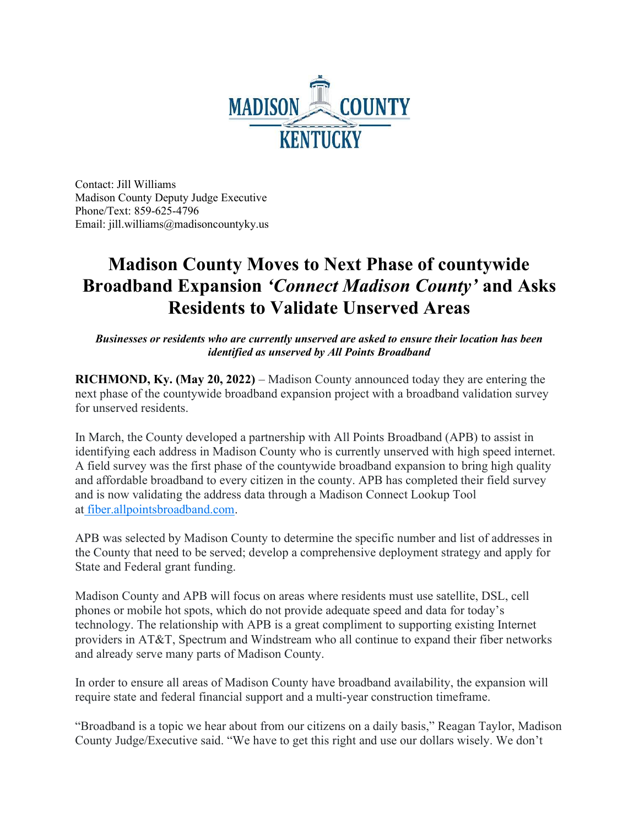

Contact: Jill Williams Madison County Deputy Judge Executive Phone/Text: 859-625-4796 Email: jill.williams@madisoncountyky.us

## Madison County Moves to Next Phase of countywide Broadband Expansion 'Connect Madison County' and Asks Residents to Validate Unserved Areas

Businesses or residents who are currently unserved are asked to ensure their location has been identified as unserved by All Points Broadband

RICHMOND, Ky. (May 20, 2022) – Madison County announced today they are entering the next phase of the countywide broadband expansion project with a broadband validation survey for unserved residents.

In March, the County developed a partnership with All Points Broadband (APB) to assist in identifying each address in Madison County who is currently unserved with high speed internet. A field survey was the first phase of the countywide broadband expansion to bring high quality and affordable broadband to every citizen in the county. APB has completed their field survey and is now validating the address data through a Madison Connect Lookup Tool at fiber.allpointsbroadband.com.

APB was selected by Madison County to determine the specific number and list of addresses in the County that need to be served; develop a comprehensive deployment strategy and apply for State and Federal grant funding.

Madison County and APB will focus on areas where residents must use satellite, DSL, cell phones or mobile hot spots, which do not provide adequate speed and data for today's technology. The relationship with APB is a great compliment to supporting existing Internet providers in AT&T, Spectrum and Windstream who all continue to expand their fiber networks and already serve many parts of Madison County.

In order to ensure all areas of Madison County have broadband availability, the expansion will require state and federal financial support and a multi-year construction timeframe.

"Broadband is a topic we hear about from our citizens on a daily basis," Reagan Taylor, Madison County Judge/Executive said. "We have to get this right and use our dollars wisely. We don't